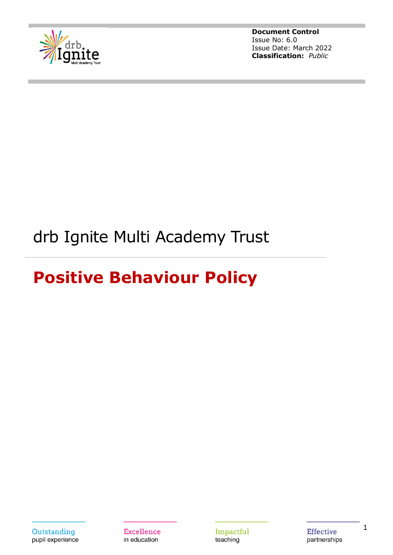

# drb Ignite Multi Academy Trust

# **Positive Behaviour Policy**

Outstanding pupil experience

**Excellence** in education

Impactful teaching

**Effective** partnerships 1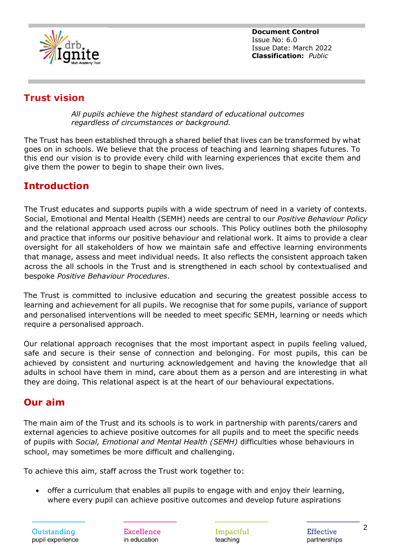

# **Trust vision**

*All pupils achieve the highest standard of educational outcomes regardless of circumstances or background.*

The Trust has been established through a shared belief that lives can be transformed by what goes on in schools. We believe that the process of teaching and learning shapes futures. To this end our vision is to provide every child with learning experiences that excite them and give them the power to begin to shape their own lives.

# **Introduction**

The Trust educates and supports pupils with a wide spectrum of need in a variety of contexts. Social, Emotional and Mental Health (SEMH) needs are central to our *Positive Behaviour Policy* and the relational approach used across our schools. This Policy outlines both the philosophy and practice that informs our positive behaviour and relational work. It aims to provide a clear oversight for all stakeholders of how we maintain safe and effective learning environments that manage, assess and meet individual needs. It also reflects the consistent approach taken across the all schools in the Trust and is strengthened in each school by contextualised and bespoke *Positive Behaviour Procedures*.

The Trust is committed to inclusive education and securing the greatest possible access to learning and achievement for all pupils. We recognise that for some pupils, variance of support and personalised interventions will be needed to meet specific SEMH, learning or needs which require a personalised approach.

Our relational approach recognises that the most important aspect in pupils feeling valued, safe and secure is their sense of connection and belonging. For most pupils, this can be achieved by consistent and nurturing acknowledgement and having the knowledge that all adults in school have them in mind, care about them as a person and are interesting in what they are doing. This relational aspect is at the heart of our behavioural expectations.

# **Our aim**

The main aim of the Trust and its schools is to work in partnership with parents/carers and external agencies to achieve positive outcomes for all pupils and to meet the specific needs of pupils with *Social, Emotional and Mental Health (SEMH)* difficulties whose behaviours in school, may sometimes be more difficult and challenging.

To achieve this aim, staff across the Trust work together to:

• offer a curriculum that enables all pupils to engage with and enjoy their learning, where every pupil can achieve positive outcomes and develop future aspirations

Excellence in education

Impactful teaching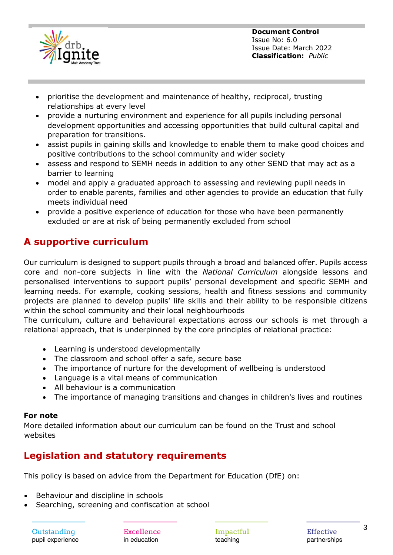

- prioritise the development and maintenance of healthy, reciprocal, trusting relationships at every level
- provide a nurturing environment and experience for all pupils including personal development opportunities and accessing opportunities that build cultural capital and preparation for transitions.
- assist pupils in gaining skills and knowledge to enable them to make good choices and positive contributions to the school community and wider society
- assess and respond to SEMH needs in addition to any other SEND that may act as a barrier to learning
- model and apply a graduated approach to assessing and reviewing pupil needs in order to enable parents, families and other agencies to provide an education that fully meets individual need
- provide a positive experience of education for those who have been permanently excluded or are at risk of being permanently excluded from school

# **A supportive curriculum**

Our curriculum is designed to support pupils through a broad and balanced offer. Pupils access core and non-core subjects in line with the *National Curriculum* alongside lessons and personalised interventions to support pupils' personal development and specific SEMH and learning needs. For example, cooking sessions, health and fitness sessions and community projects are planned to develop pupils' life skills and their ability to be responsible citizens within the school community and their local neighbourhoods

The curriculum, culture and behavioural expectations across our schools is met through a relational approach, that is underpinned by the core principles of relational practice:

- Learning is understood developmentally
- The classroom and school offer a safe, secure base
- The importance of nurture for the development of wellbeing is understood
- Language is a vital means of communication
- All behaviour is a communication
- The importance of managing transitions and changes in children's lives and routines

### **For note**

More detailed information about our curriculum can be found on the Trust and school websites

# **Legislation and statutory requirements**

This policy is based on advice from the Department for Education (DfE) on:

- Behaviour and discipline in schools
- Searching, screening and confiscation at school

Excellence in education

Impactful teaching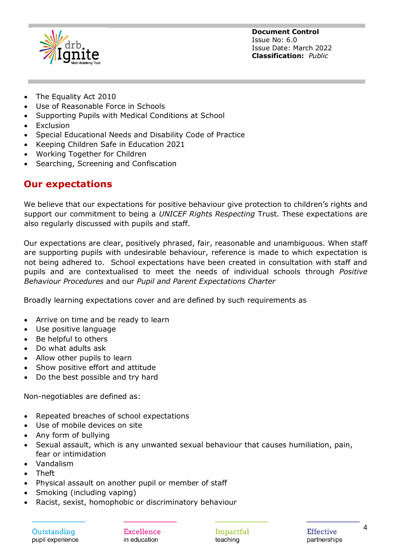

- The Equality Act 2010
- Use of Reasonable Force in Schools
- Supporting Pupils with Medical Conditions at School
- Exclusion
- Special Educational Needs and Disability Code of Practice
- Keeping Children Safe in Education 2021
- Working Together for Children
- Searching, Screening and Confiscation

## **Our expectations**

We believe that our expectations for positive behaviour give protection to children's rights and support our commitment to being a *UNICEF Rights Respecting* Trust. These expectations are also regularly discussed with pupils and staff.

Our expectations are clear, positively phrased, fair, reasonable and unambiguous. When staff are supporting pupils with undesirable behaviour, reference is made to which expectation is not being adhered to. School expectations have been created in consultation with staff and pupils and are contextualised to meet the needs of individual schools through *Positive Behaviour Procedures* and our *Pupil and Parent Expectations Charter*

Broadly learning expectations cover and are defined by such requirements as

- Arrive on time and be ready to learn
- Use positive language
- Be helpful to others
- Do what adults ask
- Allow other pupils to learn
- Show positive effort and attitude
- Do the best possible and try hard

Non-negotiables are defined as:

- Repeated breaches of school expectations
- Use of mobile devices on site
- Any form of bullying
- Sexual assault, which is any unwanted sexual behaviour that causes humiliation, pain, fear or intimidation
- Vandalism
- Theft
- Physical assault on another pupil or member of staff
- Smoking (including vaping)
- Racist, sexist, homophobic or discriminatory behaviour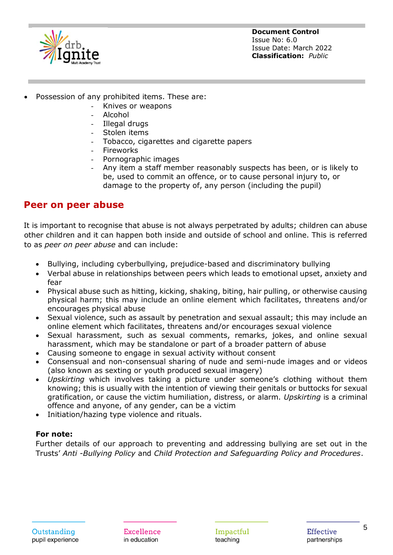

- Possession of any prohibited items. These are:
	- Knives or weapons
	- Alcohol
	- Illegal drugs
	- Stolen items
	- Tobacco, cigarettes and cigarette papers
	- **Fireworks**
	- Pornographic images
	- Any item a staff member reasonably suspects has been, or is likely to be, used to commit an offence, or to cause personal injury to, or damage to the property of, any person (including the pupil)

# **Peer on peer abuse**

It is important to recognise that abuse is not always perpetrated by adults; children can abuse other children and it can happen both inside and outside of school and online. This is referred to as *peer on peer abuse* and can include:

- Bullying, including cyberbullying, prejudice-based and discriminatory bullying
- Verbal abuse in relationships between peers which leads to emotional upset, anxiety and fear
- Physical abuse such as hitting, kicking, shaking, biting, hair pulling, or otherwise causing physical harm; this may include an online element which facilitates, threatens and/or encourages physical abuse
- Sexual violence, such as assault by penetration and sexual assault; this may include an online element which facilitates, threatens and/or encourages sexual violence
- Sexual harassment, such as sexual comments, remarks, jokes, and online sexual harassment, which may be standalone or part of a broader pattern of abuse
- Causing someone to engage in sexual activity without consent
- Consensual and non-consensual sharing of nude and semi-nude images and or videos (also known as sexting or youth produced sexual imagery)
- *Upskirting* which involves taking a picture under someone's clothing without them knowing; this is usually with the intention of viewing their genitals or buttocks for sexual gratification, or cause the victim humiliation, distress, or alarm. *Upskirting* is a criminal offence and anyone, of any gender, can be a victim
- Initiation/hazing type violence and rituals.

#### **For note:**

Further details of our approach to preventing and addressing bullying are set out in the Trusts' *Anti -Bullying Policy* and *Child Protection and Safeguarding Policy and Procedures*.

Excellence in education

Impactful teaching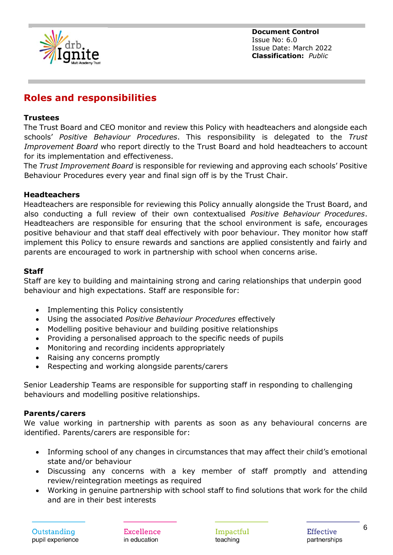

# **Roles and responsibilities**

#### **Trustees**

The Trust Board and CEO monitor and review this Policy with headteachers and alongside each schools' *Positive Behaviour Procedures*. This responsibility is delegated to the *Trust Improvement Board* who report directly to the Trust Board and hold headteachers to account for its implementation and effectiveness.

The *Trust Improvement Board* is responsible for reviewing and approving each schools' Positive Behaviour Procedures every year and final sign off is by the Trust Chair.

#### **Headteachers**

Headteachers are responsible for reviewing this Policy annually alongside the Trust Board, and also conducting a full review of their own contextualised *Positive Behaviour Procedures*. Headteachers are responsible for ensuring that the school environment is safe, encourages positive behaviour and that staff deal effectively with poor behaviour. They monitor how staff implement this Policy to ensure rewards and sanctions are applied consistently and fairly and parents are encouraged to work in partnership with school when concerns arise.

#### **Staff**

Staff are key to building and maintaining strong and caring relationships that underpin good behaviour and high expectations. Staff are responsible for:

- Implementing this Policy consistently
- Using the associated *Positive Behaviour Procedures* effectively
- Modelling positive behaviour and building positive relationships
- Providing a personalised approach to the specific needs of pupils
- Monitoring and recording incidents appropriately
- Raising any concerns promptly
- Respecting and working alongside parents/carers

Senior Leadership Teams are responsible for supporting staff in responding to challenging behaviours and modelling positive relationships.

#### **Parents/carers**

We value working in partnership with parents as soon as any behavioural concerns are identified. Parents/carers are responsible for:

- Informing school of any changes in circumstances that may affect their child's emotional state and/or behaviour
- Discussing any concerns with a key member of staff promptly and attending review/reintegration meetings as required
- Working in genuine partnership with school staff to find solutions that work for the child and are in their best interests

Excellence in education

Impactful teaching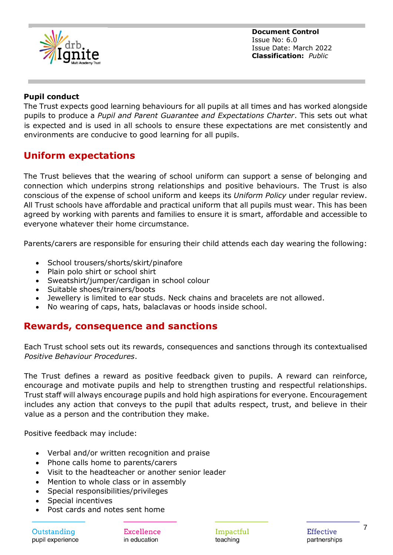

#### **Pupil conduct**

The Trust expects good learning behaviours for all pupils at all times and has worked alongside pupils to produce a *Pupil and Parent Guarantee and Expectations Charter*. This sets out what is expected and is used in all schools to ensure these expectations are met consistently and environments are conducive to good learning for all pupils.

## **Uniform expectations**

The Trust believes that the wearing of school uniform can support a sense of belonging and connection which underpins strong relationships and positive behaviours. The Trust is also conscious of the expense of school uniform and keeps its *Uniform Policy* under regular review. All Trust schools have affordable and practical uniform that all pupils must wear. This has been agreed by working with parents and families to ensure it is smart, affordable and accessible to everyone whatever their home circumstance.

Parents/carers are responsible for ensuring their child attends each day wearing the following:

- School trousers/shorts/skirt/pinafore
- Plain polo shirt or school shirt
- Sweatshirt/jumper/cardigan in school colour
- Suitable shoes/trainers/boots
- Jewellery is limited to ear studs. Neck chains and bracelets are not allowed.
- No wearing of caps, hats, balaclavas or hoods inside school.

## **Rewards, consequence and sanctions**

Each Trust school sets out its rewards, consequences and sanctions through its contextualised *Positive Behaviour Procedures*.

The Trust defines a reward as positive feedback given to pupils. A reward can reinforce, encourage and motivate pupils and help to strengthen trusting and respectful relationships. Trust staff will always encourage pupils and hold high aspirations for everyone. Encouragement includes any action that conveys to the pupil that adults respect, trust, and believe in their value as a person and the contribution they make.

Positive feedback may include:

- Verbal and/or written recognition and praise
- Phone calls home to parents/carers
- Visit to the headteacher or another senior leader
- Mention to whole class or in assembly
- Special responsibilities/privileges
- Special incentives
- Post cards and notes sent home

Outstanding pupil experience

Excellence in education

Impactful teaching

Effective partnerships 7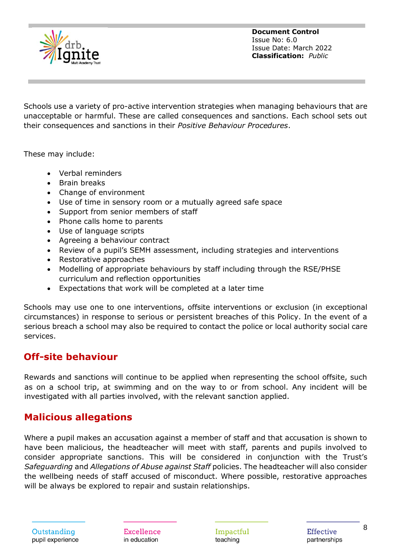

Schools use a variety of pro-active intervention strategies when managing behaviours that are unacceptable or harmful. These are called consequences and sanctions. Each school sets out their consequences and sanctions in their *Positive Behaviour Procedures*.

These may include:

- Verbal reminders
- Brain breaks
- Change of environment
- Use of time in sensory room or a mutually agreed safe space
- Support from senior members of staff
- Phone calls home to parents
- Use of language scripts
- Agreeing a behaviour contract
- Review of a pupil's SEMH assessment, including strategies and interventions
- Restorative approaches
- Modelling of appropriate behaviours by staff including through the RSE/PHSE curriculum and reflection opportunities
- Expectations that work will be completed at a later time

Schools may use one to one interventions, offsite interventions or exclusion (in exceptional circumstances) in response to serious or persistent breaches of this Policy. In the event of a serious breach a school may also be required to contact the police or local authority social care services.

## **Off-site behaviour**

Rewards and sanctions will continue to be applied when representing the school offsite, such as on a school trip, at swimming and on the way to or from school. Any incident will be investigated with all parties involved, with the relevant sanction applied.

## **Malicious allegations**

Where a pupil makes an accusation against a member of staff and that accusation is shown to have been malicious, the headteacher will meet with staff, parents and pupils involved to consider appropriate sanctions. This will be considered in conjunction with the Trust's *Safeguarding* and *Allegations of Abuse against Staff* policies. The headteacher will also consider the wellbeing needs of staff accused of misconduct. Where possible, restorative approaches will be always be explored to repair and sustain relationships.

Excellence in education

Impactful teaching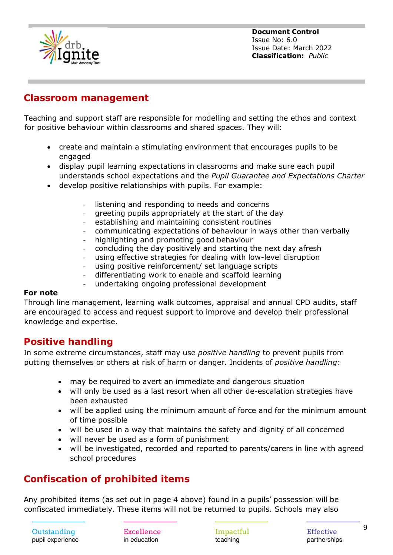

## **Classroom management**

Teaching and support staff are responsible for modelling and setting the ethos and context for positive behaviour within classrooms and shared spaces. They will:

- create and maintain a stimulating environment that encourages pupils to be engaged
- display pupil learning expectations in classrooms and make sure each pupil understands school expectations and the *Pupil Guarantee and Expectations Charter*
- develop positive relationships with pupils. For example:
	- listening and responding to needs and concerns
	- greeting pupils appropriately at the start of the day
	- establishing and maintaining consistent routines
	- communicating expectations of behaviour in ways other than verbally
	- highlighting and promoting good behaviour
	- concluding the day positively and starting the next day afresh
	- using effective strategies for dealing with low-level disruption
	- using positive reinforcement/ set language scripts
	- differentiating work to enable and scaffold learning
	- undertaking ongoing professional development

#### **For note**

Through line management, learning walk outcomes, appraisal and annual CPD audits, staff are encouraged to access and request support to improve and develop their professional knowledge and expertise.

## **Positive handling**

In some extreme circumstances, staff may use *positive handling* to prevent pupils from putting themselves or others at risk of harm or danger. Incidents of *positive handling*:

- may be required to avert an immediate and dangerous situation
- will only be used as a last resort when all other de-escalation strategies have been exhausted
- will be applied using the minimum amount of force and for the minimum amount of time possible
- will be used in a way that maintains the safety and dignity of all concerned
- will never be used as a form of punishment
- will be investigated, recorded and reported to parents/carers in line with agreed school procedures

# **Confiscation of prohibited items**

Any prohibited items (as set out in page 4 above) found in a pupils' possession will be confiscated immediately. These items will not be returned to pupils. Schools may also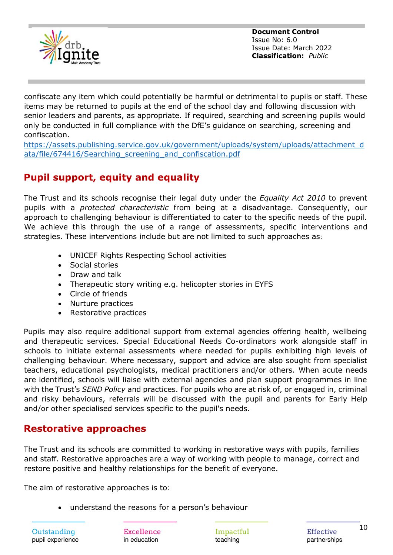

confiscate any item which could potentially be harmful or detrimental to pupils or staff. These items may be returned to pupils at the end of the school day and following discussion with senior leaders and parents, as appropriate. If required, searching and screening pupils would only be conducted in full compliance with the DfE's guidance on searching, screening and confiscation.

[https://assets.publishing.service.gov.uk/government/uploads/system/uploads/attachment\\_d](https://assets.publishing.service.gov.uk/government/uploads/system/uploads/attachment_data/file/674416/Searching_screening_and_confiscation.pdf) [ata/file/674416/Searching\\_screening\\_and\\_confiscation.pdf](https://assets.publishing.service.gov.uk/government/uploads/system/uploads/attachment_data/file/674416/Searching_screening_and_confiscation.pdf)

# **Pupil support, equity and equality**

The Trust and its schools recognise their legal duty under the *Equality Act 2010* to prevent pupils with a *protected characteristic* from being at a disadvantage. Consequently, our approach to challenging behaviour is differentiated to cater to the specific needs of the pupil. We achieve this through the use of a range of assessments, specific interventions and strategies. These interventions include but are not limited to such approaches as:

- UNICEF Rights Respecting School activities
- Social stories
- Draw and talk
- Therapeutic story writing e.g. helicopter stories in EYFS
- Circle of friends
- Nurture practices
- Restorative practices

Pupils may also require additional support from external agencies offering health, wellbeing and therapeutic services. Special Educational Needs Co-ordinators work alongside staff in schools to initiate external assessments where needed for pupils exhibiting high levels of challenging behaviour. Where necessary, support and advice are also sought from specialist teachers, educational psychologists, medical practitioners and/or others. When acute needs are identified, schools will liaise with external agencies and plan support programmes in line with the Trust's *SEND Policy* and practices. For pupils who are at risk of, or engaged in, criminal and risky behaviours, referrals will be discussed with the pupil and parents for Early Help and/or other specialised services specific to the pupil's needs.

# **Restorative approaches**

The Trust and its schools are committed to working in restorative ways with pupils, families and staff. Restorative approaches are a way of working with people to manage, correct and restore positive and healthy relationships for the benefit of everyone.

The aim of restorative approaches is to:

• understand the reasons for a person's behaviour

Outstanding pupil experience Excellence in education

Impactful teaching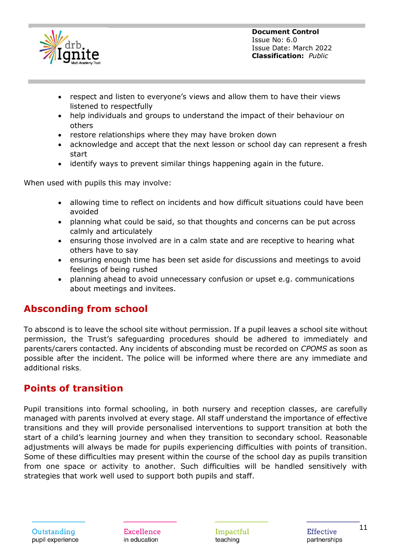

- respect and listen to everyone's views and allow them to have their views listened to respectfully
- help individuals and groups to understand the impact of their behaviour on others
- restore relationships where they may have broken down
- acknowledge and accept that the next lesson or school day can represent a fresh start
- identify ways to prevent similar things happening again in the future.

When used with pupils this may involve:

- allowing time to reflect on incidents and how difficult situations could have been avoided
- planning what could be said, so that thoughts and concerns can be put across calmly and articulately
- ensuring those involved are in a calm state and are receptive to hearing what others have to say
- ensuring enough time has been set aside for discussions and meetings to avoid feelings of being rushed
- planning ahead to avoid unnecessary confusion or upset e.g. communications about meetings and invitees.

# **Absconding from school**

To abscond is to leave the school site without permission. If a pupil leaves a school site without permission, the Trust's safeguarding procedures should be adhered to immediately and parents/carers contacted. Any incidents of absconding must be recorded on *CPOMS* as soon as possible after the incident. The police will be informed where there are any immediate and additional risks.

# **Points of transition**

Pupil transitions into formal schooling, in both nursery and reception classes, are carefully managed with parents involved at every stage. All staff understand the importance of effective transitions and they will provide personalised interventions to support transition at both the start of a child's learning journey and when they transition to secondary school. Reasonable adjustments will always be made for pupils experiencing difficulties with points of transition. Some of these difficulties may present within the course of the school day as pupils transition from one space or activity to another. Such difficulties will be handled sensitively with strategies that work well used to support both pupils and staff.

Excellence in education

Impactful teaching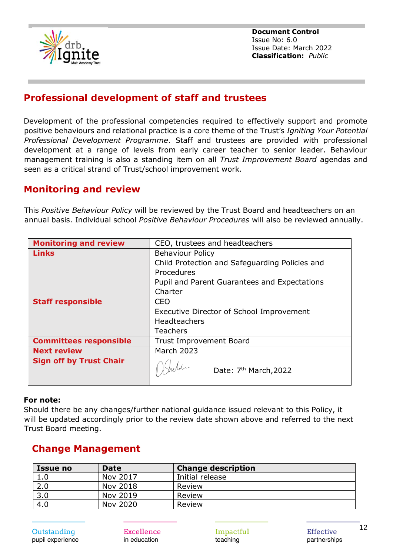

# **Professional development of staff and trustees**

Development of the professional competencies required to effectively support and promote positive behaviours and relational practice is a core theme of the Trust's *Igniting Your Potential Professional Development Programme*. Staff and trustees are provided with professional development at a range of levels from early career teacher to senior leader. Behaviour management training is also a standing item on all *Trust Improvement Board* agendas and seen as a critical strand of Trust/school improvement work.

## **Monitoring and review**

This *Positive Behaviour Policy* will be reviewed by the Trust Board and headteachers on an annual basis. Individual school *Positive Behaviour Procedures* will also be reviewed annually.

| <b>Monitoring and review</b>   | CEO, trustees and headteachers                 |
|--------------------------------|------------------------------------------------|
| <b>Links</b>                   | <b>Behaviour Policy</b>                        |
|                                | Child Protection and Safeguarding Policies and |
|                                | Procedures                                     |
|                                | Pupil and Parent Guarantees and Expectations   |
|                                | Charter                                        |
| <b>Staff responsible</b>       | CEO                                            |
|                                | Executive Director of School Improvement       |
|                                | <b>Headteachers</b>                            |
|                                | <b>Teachers</b>                                |
| <b>Committees responsible</b>  | <b>Trust Improvement Board</b>                 |
| <b>Next review</b>             | <b>March 2023</b>                              |
| <b>Sign off by Trust Chair</b> | Date: 7 <sup>th</sup> March, 2022              |

#### **For note:**

Should there be any changes/further national guidance issued relevant to this Policy, it will be updated accordingly prior to the review date shown above and referred to the next Trust Board meeting.

# **Change Management**

| <b>Issue no</b> | <b>Date</b> | <b>Change description</b> |
|-----------------|-------------|---------------------------|
| 1.0             | Nov 2017    | Initial release           |
| 2.0             | Nov 2018    | Review                    |
| 3.0             | Nov 2019    | Review                    |
| 4.0             | Nov 2020    | Review                    |

Excellence in education

Impactful teaching